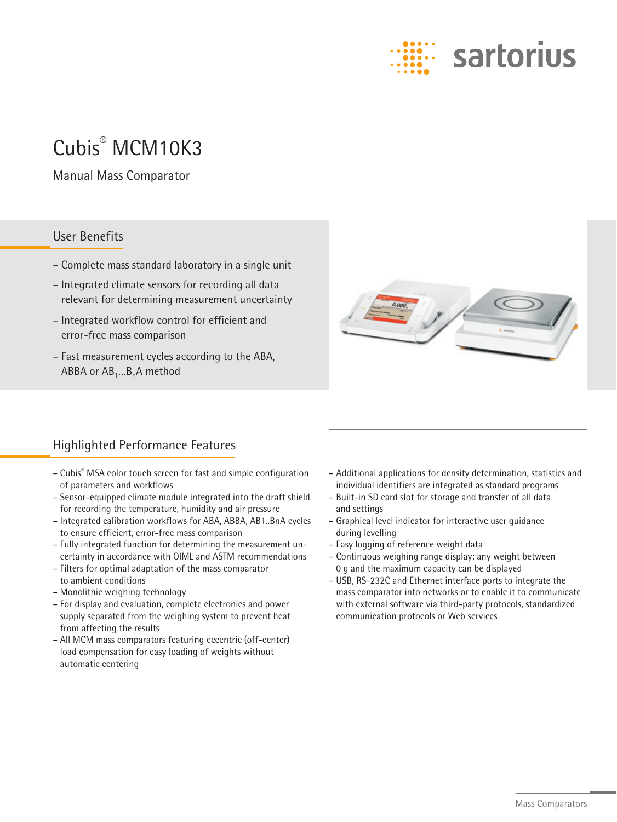

## Cubis® MCM10K3

Manual Mass Comparator

## User Benefits

- Complete mass standard laboratory in a single unit
- Integrated climate sensors for recording all data relevant for determining measurement uncertainty
- Integrated workflow control for efficient and error-free mass comparison
- Fast measurement cycles according to the ABA, ABBA or  $AB_1...B_n$ A method



## Highlighted Performance Features

- Cubis® MSA color touch screen for fast and simple configuration of parameters and workflows
- Sensor-equipped climate module integrated into the draft shield for recording the temperature, humidity and air pressure
- Integrated calibration workflows for ABA, ABBA, AB1..BnA cycles to ensure efficient, error-free mass comparison
- Fully integrated function for determining the measurement uncertainty in accordance with OIML and ASTM recommendations
- Filters for optimal adaptation of the mass comparator to ambient conditions
- Monolithic weighing technology
- For display and evaluation, complete electronics and power supply separated from the weighing system to prevent heat from affecting the results
- All MCM mass comparators featuring eccentric (off-center) load compensation for easy loading of weights without automatic centering
- Additional applications for density determination, statistics and individual identifiers are integrated as standard programs
- Built-in SD card slot for storage and transfer of all data and settings
- Graphical level indicator for interactive user guidance during levelling
- Easy logging of reference weight data
- Continuous weighing range display: any weight between 0 g and the maximum capacity can be displayed
- USB, RS-232C and Ethernet interface ports to integrate the mass comparator into networks or to enable it to communicate with external software via third-party protocols, standardized communication protocols or Web services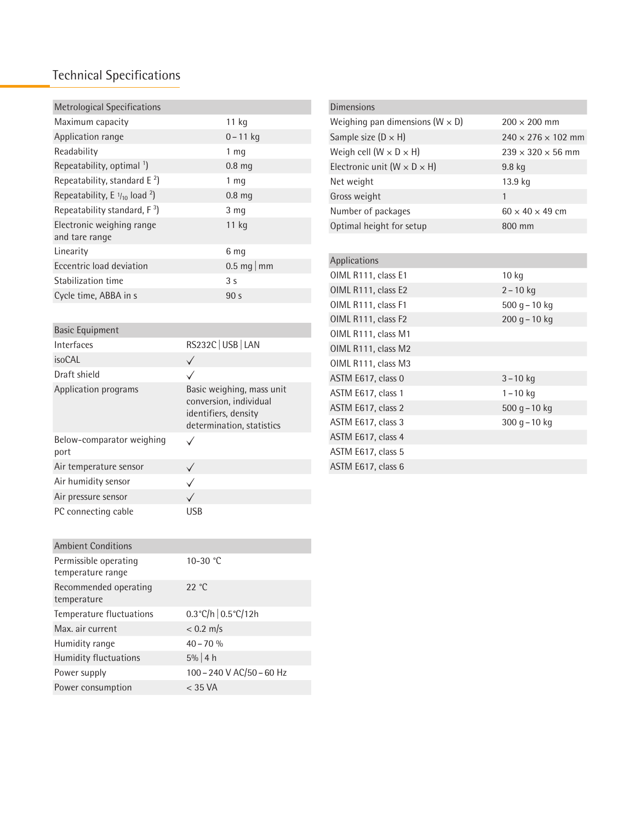## Technical Specifications

| <b>Metrological Specifications</b>                  |                                                                             | <b>Dimensions</b>                       |                                |
|-----------------------------------------------------|-----------------------------------------------------------------------------|-----------------------------------------|--------------------------------|
| Maximum capacity                                    | $11$ kg                                                                     | Weighing pan dimensions $(W \times D)$  | $200 \times 200$ mm            |
| Application range                                   | $0 - 11$ kg                                                                 | Sample size $(D \times H)$              | $240 \times 276 \times 102$ mm |
| Readability                                         | 1 <sub>mg</sub>                                                             | Weigh cell $(W \times D \times H)$      | $239 \times 320 \times 56$ mm  |
| Repeatability, optimal <sup>1</sup> )               | $0.8$ mg                                                                    | Electronic unit $(W \times D \times H)$ | 9.8 kg                         |
| Repeatability, standard $E^2$ )                     | 1 <sub>mg</sub>                                                             | Net weight                              | 13.9 kg                        |
| Repeatability, E $\frac{1}{10}$ load <sup>2</sup> ) | $0.8$ mg                                                                    | Gross weight                            | $\mathbf{1}$                   |
| Repeatability standard, $F^3$ )                     | 3 <sub>mg</sub>                                                             | Number of packages                      | $60 \times 40 \times 49$ cm    |
| Electronic weighing range<br>and tare range         | 11 kg                                                                       | Optimal height for setup                | 800 mm                         |
| Linearity                                           | 6 mg                                                                        |                                         |                                |
| Eccentric load deviation                            | 0.5 mg   $mm$                                                               | Applications                            |                                |
| Stabilization time                                  | 3 <sub>s</sub>                                                              | OIML R111, class E1                     | 10 kg                          |
| Cycle time, ABBA in s                               | 90 <sub>s</sub>                                                             | OIML R111, class E2                     | $2 - 10$ kg                    |
|                                                     |                                                                             | OIML R111, class F1                     | $500 g - 10 kg$                |
| <b>Basic Equipment</b>                              |                                                                             | OIML R111, class F2                     | $200$ g - 10 kg                |
| Interfaces                                          | RS232C   USB   LAN                                                          | OIML R111, class M1                     |                                |
| isoCAL                                              | $\checkmark$                                                                | OIML R111, class M2                     |                                |
| Draft shield                                        |                                                                             | OIML R111, class M3                     |                                |
|                                                     |                                                                             | ASTM E617, class 0                      | $3 - 10$ kg                    |
| Application programs                                | Basic weighing, mass unit<br>conversion, individual<br>identifiers, density | ASTM E617, class 1                      | $1 - 10$ kg                    |
|                                                     |                                                                             | ASTM E617, class 2                      | $500 g - 10 kg$                |
|                                                     | determination, statistics                                                   | ASTM E617, class 3                      | $300$ g $-10$ kg               |
| Below-comparator weighing                           | $\checkmark$                                                                | ASTM E617, class 4                      |                                |
| port                                                |                                                                             | ASTM E617, class 5                      |                                |
| Air temperature sensor                              | $\checkmark$                                                                | ASTM E617, class 6                      |                                |
| Air humidity sensor                                 | $\checkmark$                                                                |                                         |                                |
| Air pressure sensor                                 | $\checkmark$                                                                |                                         |                                |
| PC connecting cable                                 | <b>USB</b>                                                                  |                                         |                                |

| <b>Ambient Conditions</b>                  |                                       |
|--------------------------------------------|---------------------------------------|
| Permissible operating<br>temperature range | 10-30 $°C$                            |
| Recommended operating<br>temperature       | 22 °C                                 |
| Temperature fluctuations                   | $0.3^{\circ}$ C/h $0.5^{\circ}$ C/12h |
| Max. air current                           | $< 0.2$ m/s                           |
| Humidity range                             | $40 - 70 %$                           |
| Humidity fluctuations                      | $5\%$ 4 h                             |
| Power supply                               | 100-240 V AC/50-60 Hz                 |
| Power consumption                          | $<$ 35 VA                             |

Ambient Conditions